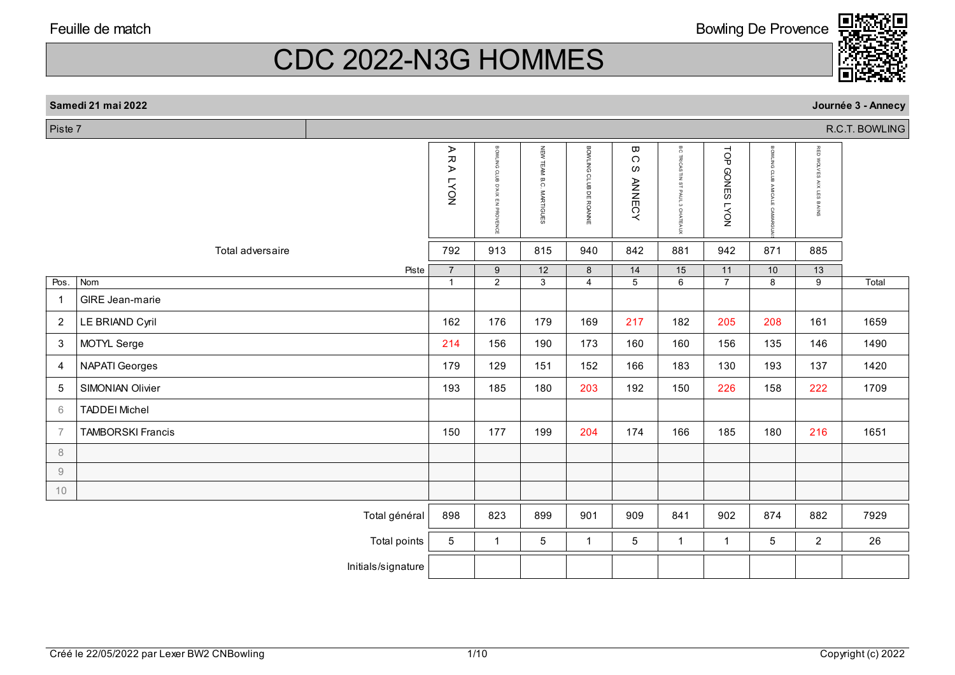Piste 7

Pos.

1

2

3

4

5

6

7

8 9 10 CDC 2022-N3G HOMMES

## Bowling De Provence

|                |                          | ⋗<br>R A<br>NO <sub>X</sub> | BOWLING CLUB<br>$X \cup Y$<br>$\overline{\mathbf{z}}$<br>PROVENCE | NEW TEAM<br>B.C<br><b>MARTIGUES</b> | <b>BOWLING</b><br>CLUB<br>B<br><b>DE ROANNE</b> | ω<br>C<br>ဖ<br><b>ANNECY</b> | ВC<br><b>TRICASTIN</b><br>$\frac{1}{2}$<br><b>PAUL</b><br>$\omega$<br>CHATEAUX | TOP<br><b>GONES</b><br><b>LYON</b> | BOWLING<br>$\circ$<br>$\circ$ | <b>RED</b><br>NOV.<br>≍<br>$\mathbf{r}$<br>$\alpha$<br>≅<br><b>co</b><br>$\omega$<br>SNIN <sup>®</sup> |       |
|----------------|--------------------------|-----------------------------|-------------------------------------------------------------------|-------------------------------------|-------------------------------------------------|------------------------------|--------------------------------------------------------------------------------|------------------------------------|-------------------------------|--------------------------------------------------------------------------------------------------------|-------|
|                | Total adversaire         | 792                         | 913                                                               | 815                                 | 940                                             | 842                          | 881                                                                            | 942                                | 871                           | 885                                                                                                    |       |
|                | Piste                    | $\overline{7}$              | 9                                                                 | 12                                  | 8                                               | 14                           | 15                                                                             | 11                                 | 10                            | 13                                                                                                     |       |
| os.            | Nom                      | $\overline{1}$              | $\overline{2}$                                                    | 3 <sup>1</sup>                      | 4                                               | 5                            | 6                                                                              | $\overline{7}$                     | 8                             | 9                                                                                                      | Total |
|                | GIRE Jean-marie          |                             |                                                                   |                                     |                                                 |                              |                                                                                |                                    |                               |                                                                                                        |       |
| 2              | LE BRIAND Cyril          | 162                         | 176                                                               | 179                                 | 169                                             | 217                          | 182                                                                            | 205                                | 208                           | 161                                                                                                    | 1659  |
| 3              | MOTYL Serge              | 214                         | 156                                                               | 190                                 | 173                                             | 160                          | 160                                                                            | 156                                | 135                           | 146                                                                                                    | 1490  |
| 4              | NAPATI Georges           | 179                         | 129                                                               | 151                                 | 152                                             | 166                          | 183                                                                            | 130                                | 193                           | 137                                                                                                    | 1420  |
| 5              | SIMONIAN Olivier         | 193                         | 185                                                               | 180                                 | 203                                             | 192                          | 150                                                                            | 226                                | 158                           | 222                                                                                                    | 1709  |
| 6              | <b>TADDEI Michel</b>     |                             |                                                                   |                                     |                                                 |                              |                                                                                |                                    |                               |                                                                                                        |       |
| $\overline{7}$ | <b>TAMBORSKI Francis</b> | 150                         | 177                                                               | 199                                 | 204                                             | 174                          | 166                                                                            | 185                                | 180                           | 216                                                                                                    | 1651  |
| 8              |                          |                             |                                                                   |                                     |                                                 |                              |                                                                                |                                    |                               |                                                                                                        |       |
| 9              |                          |                             |                                                                   |                                     |                                                 |                              |                                                                                |                                    |                               |                                                                                                        |       |
|                |                          |                             |                                                                   |                                     |                                                 |                              |                                                                                |                                    |                               |                                                                                                        |       |

Total général | 898 | 823 | 899 | 901 | 909 | 841 | 902 | 874 | 882 | 7929

Total points 5 1 5 1 5 1 5 1 1 1 5 26



Initials/signature

 **Journée 3 - Annecy** R.C.T. BOWLINGR.C.T. BOWLING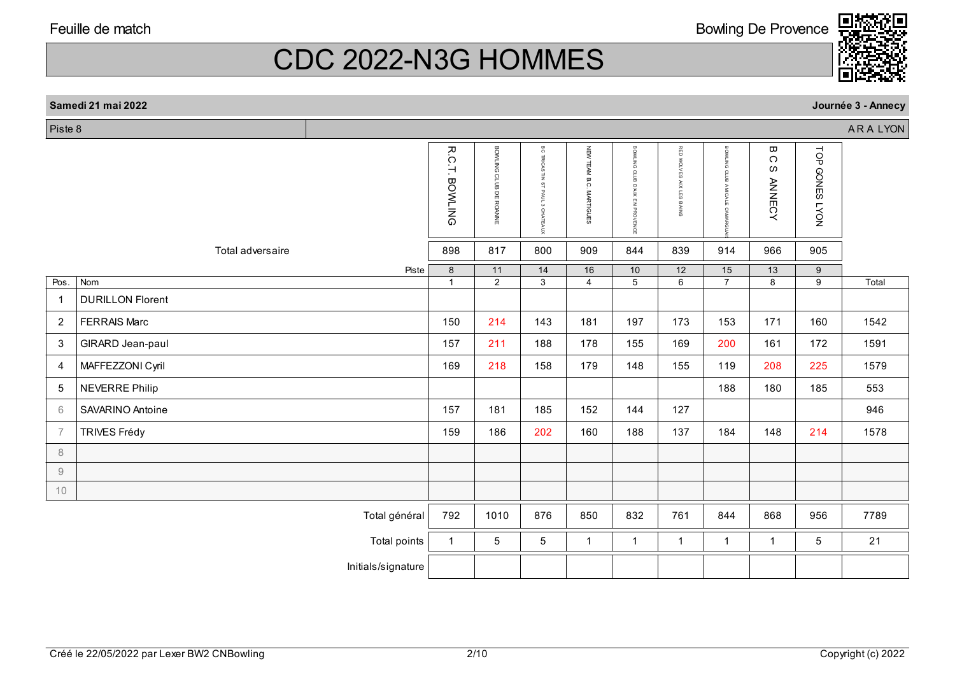**Samedi** 

Piste 8

Pos.

1

2

3

4

5

6

7

8 9 10 CDC 2022-N3G HOMMES

|       | amedi 21 mai 2022       |                          |                        |                                                          |                                            |                                                             |                                                    |                                                                         |                                     |                                         | Journée 3 - Annecy |
|-------|-------------------------|--------------------------|------------------------|----------------------------------------------------------|--------------------------------------------|-------------------------------------------------------------|----------------------------------------------------|-------------------------------------------------------------------------|-------------------------------------|-----------------------------------------|--------------------|
| ste 8 |                         |                          |                        |                                                          |                                            |                                                             |                                                    |                                                                         |                                     |                                         | ARA LYON           |
|       |                         | R.C.T.<br><b>BOWLING</b> | BOWLING CLUB DE ROANNE | аc<br><b>TRICASTIN</b><br>STPAUL<br>$\alpha$<br>CHATEAUX | NEW<br><b>TEAM B.C</b><br><b>MARTIGUES</b> | BOWLING<br>CLUB<br>D'AIX<br>$\blacksquare$<br>ż<br>PROVENCE | RED<br><b>co</b><br>$\times$<br><b>co</b><br>BAINS | $\mathbf{u}$<br><b>DWL</b><br>$\overline{6}$<br>$\circ$<br>듦<br>$\circ$ | ω<br>$\Omega$<br>ဖ<br><b>ANNECY</b> | TOP<br><b>GONES</b><br>NOX <sub>1</sub> |                    |
|       | Total adversaire        | 898                      | 817                    | 800                                                      | 909                                        | 844                                                         | 839                                                | 914                                                                     | 966                                 | 905                                     |                    |
|       |                         | 8<br>Piste               | 11                     | 14                                                       | 16                                         | 10                                                          | 12                                                 | 15                                                                      | 13                                  | 9                                       |                    |
| os.   | Nom                     | -1                       | 2                      | 3                                                        | $\overline{4}$                             | 5                                                           | 6                                                  | $\overline{7}$                                                          | 8                                   | 9                                       | Total              |
|       | <b>DURILLON Florent</b> |                          |                        |                                                          |                                            |                                                             |                                                    |                                                                         |                                     |                                         |                    |
| 2     | <b>FERRAIS Marc</b>     | 150                      | 214                    | 143                                                      | 181                                        | 197                                                         | 173                                                | 153                                                                     | 171                                 | 160                                     | 1542               |
| 3     | <b>GIRARD Jean-paul</b> | 157                      | 211                    | 188                                                      | 178                                        | 155                                                         | 169                                                | 200                                                                     | 161                                 | 172                                     | 1591               |
| 4     | MAFFEZZONI Cyril        | 169                      | 218                    | 158                                                      | 179                                        | 148                                                         | 155                                                | 119                                                                     | 208                                 | 225                                     | 1579               |
| 5     | <b>NEVERRE Philip</b>   |                          |                        |                                                          |                                            |                                                             |                                                    | 188                                                                     | 180                                 | 185                                     | 553                |
| 6     | SAVARINO Antoine        | 157                      | 181                    | 185                                                      | 152                                        | 144                                                         | 127                                                |                                                                         |                                     |                                         | 946                |
| 7     | <b>TRIVES Frédy</b>     | 159                      | 186                    | 202                                                      | 160                                        | 188                                                         | 137                                                | 184                                                                     | 148                                 | 214                                     | 1578               |

# Total général | 792 | 1010 | 876 | 850 | 832 | 761 | 844 | 868 | 956 | 7789 Total points 1 | 5 | 5 | 1 | 1 | 1 | 1 | 1 | 5 | 21 Initials/signature

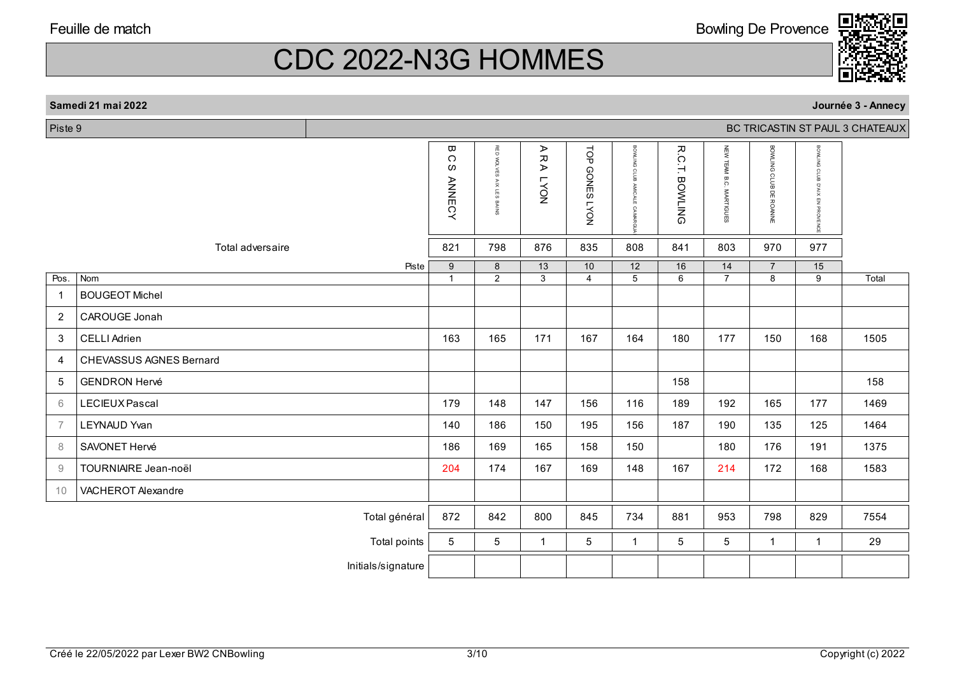| Samedi 21 mai 2022 |  |
|--------------------|--|
|--------------------|--|

Piste 9

|                                                           |                                | ω<br>C<br>w<br><b>ANNECY</b> | RED<br>WOLVES<br><b>AIX LES</b><br>BAINS | ⋗<br>$\pmb{\pi}$<br>⋗<br><b>LYON</b> | TOP<br><b>GONES</b><br>NO <sub>A</sub> | BOWLING CLUB<br><b>AMICALE</b><br>CAMARGI | R.C<br>Ή<br><b>BOWLING</b> | NEW TEAM B.C. MARTIGUES | BOWLING CLUB DE ROANNE | BOWLING<br>CLUB<br>B<br>XIX<br>F <sub>2</sub><br>PROVENCI |       |
|-----------------------------------------------------------|--------------------------------|------------------------------|------------------------------------------|--------------------------------------|----------------------------------------|-------------------------------------------|----------------------------|-------------------------|------------------------|-----------------------------------------------------------|-------|
|                                                           | Total adversaire               | 821                          | 798                                      | 876                                  | 835                                    | 808                                       | 841                        | 803                     | 970                    | 977                                                       |       |
| Pos.                                                      | Piste<br>Nom                   | $9\,$<br>$\overline{1}$      | $\bf 8$<br>$\overline{2}$                | 13<br>$\overline{3}$                 | 10<br>$\overline{4}$                   | 12<br>$\overline{5}$                      | 16<br>6                    | 14<br>$\overline{7}$    | $\overline{7}$<br>8    | 15<br>$\overline{9}$                                      | Total |
| $\mathbf{1}$                                              | <b>BOUGEOT Michel</b>          |                              |                                          |                                      |                                        |                                           |                            |                         |                        |                                                           |       |
| $\overline{2}$                                            | CAROUGE Jonah                  |                              |                                          |                                      |                                        |                                           |                            |                         |                        |                                                           |       |
| 3                                                         | <b>CELLI Adrien</b>            | 163                          | 165                                      | 171                                  | 167                                    | 164                                       | 180                        | 177                     | 150                    | 168                                                       | 1505  |
| 4                                                         | <b>CHEVASSUS AGNES Bernard</b> |                              |                                          |                                      |                                        |                                           |                            |                         |                        |                                                           |       |
| $\sqrt{5}$                                                | <b>GENDRON Hervé</b>           |                              |                                          |                                      |                                        |                                           | 158                        |                         |                        |                                                           | 158   |
| 6                                                         | LECIEUX Pascal                 | 179                          | 148                                      | 147                                  | 156                                    | 116                                       | 189                        | 192                     | 165                    | 177                                                       | 1469  |
| $\overline{7}$                                            | LEYNAUD Yvan                   | 140                          | 186                                      | 150                                  | 195                                    | 156                                       | 187                        | 190                     | 135                    | 125                                                       | 1464  |
| 8                                                         | SAVONET Hervé                  | 186                          | 169                                      | 165                                  | 158                                    | 150                                       |                            | 180                     | 176                    | 191                                                       | 1375  |
| $\mathcal{G}% _{M_{1},M_{2}}^{\alpha,\beta}(\mathcal{G})$ | <b>TOURNIAIRE</b> Jean-noël    | 204                          | 174                                      | 167                                  | 169                                    | 148                                       | 167                        | 214                     | 172                    | 168                                                       | 1583  |
| 10                                                        | VACHEROT Alexandre             |                              |                                          |                                      |                                        |                                           |                            |                         |                        |                                                           |       |
|                                                           | Total général                  | 872                          | 842                                      | 800                                  | 845                                    | 734                                       | 881                        | 953                     | 798                    | 829                                                       | 7554  |
|                                                           | Total points                   | 5                            | 5                                        | $\overline{1}$                       | 5                                      | $\mathbf{1}$                              | 5                          | 5                       | $\mathbf{1}$           | $\mathbf{1}$                                              | 29    |
|                                                           | Initials/signature             |                              |                                          |                                      |                                        |                                           |                            |                         |                        |                                                           |       |
|                                                           |                                |                              |                                          |                                      |                                        |                                           |                            |                         |                        |                                                           |       |



BC TRICASTIN ST PAUL 3 CHATEAUX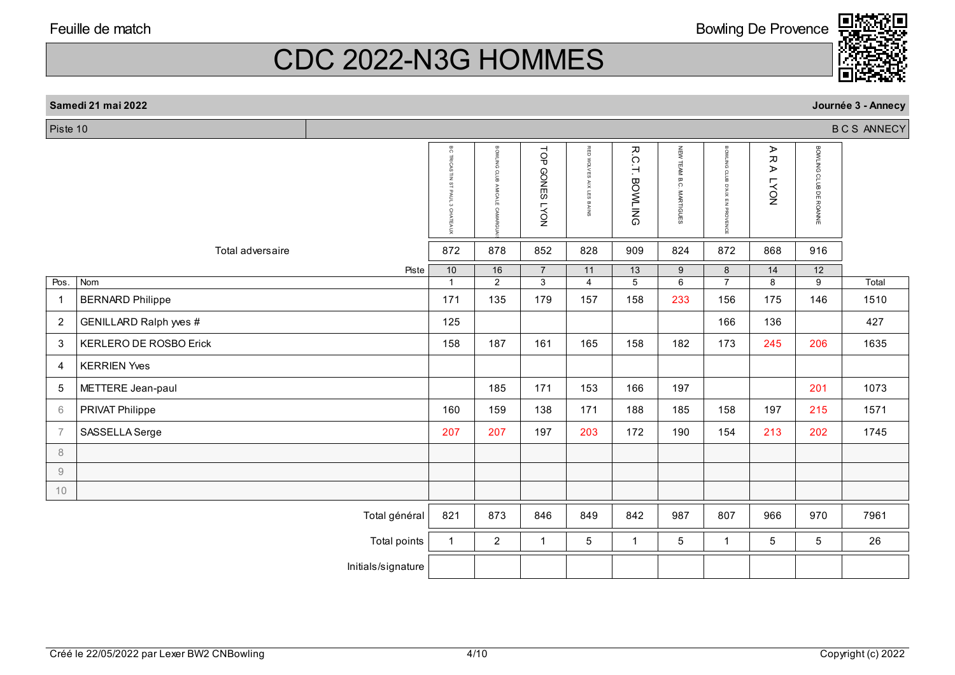CDC 2022-N3G HOMMES

| n | Bowling De Provence |
|---|---------------------|
|   |                     |



| Piste 10<br><b>BCS ANNECY</b> |                               |                                           |                                                          |                                  |                             |                       |                         |                                       |                         |                        |       |
|-------------------------------|-------------------------------|-------------------------------------------|----------------------------------------------------------|----------------------------------|-----------------------------|-----------------------|-------------------------|---------------------------------------|-------------------------|------------------------|-------|
|                               |                               | <b>BC TRICASTIN</b><br>ō<br><b>ATEAUX</b> | BOWLING<br>CLUB<br>B<br><b>AMICALE</b><br><b>CAMARGI</b> | TOP<br><b>GONES LYON</b>         | RED WOLVES<br>AIX LES BAINS | <b>R.C.T. BOWLING</b> | NEW TEAM B.C. MARTIGUES | <b>BOWLING CLUB D'AIX EN PROVENCE</b> | A R<br>⋗<br><b>LYON</b> | BOWLING CLUB DE ROANNE |       |
|                               | Total adversaire              | 872                                       | 878                                                      | 852                              | 828                         | 909                   | 824                     | 872                                   | 868                     | 916                    |       |
| Pos.                          | Piste<br>Nom                  | 10<br>$\overline{1}$                      | 16<br>$\overline{2}$                                     | $\overline{7}$<br>$\overline{3}$ | 11<br>$\overline{4}$        | 13<br>$\overline{5}$  | $9\,$<br>6              | 8<br>$\overline{7}$                   | 14<br>8                 | 12<br>9                | Total |
| -1                            | <b>BERNARD Philippe</b>       | 171                                       | 135                                                      | 179                              | 157                         | 158                   | 233                     | 156                                   | 175                     | 146                    | 1510  |
| 2                             | GENILLARD Ralph wes #         | 125                                       |                                                          |                                  |                             |                       |                         | 166                                   | 136                     |                        | 427   |
| 3                             | <b>KERLERO DE ROSBO Erick</b> | 158                                       | 187                                                      | 161                              | 165                         | 158                   | 182                     | 173                                   | 245                     | 206                    | 1635  |
| $\overline{4}$                | <b>KERRIEN Yves</b>           |                                           |                                                          |                                  |                             |                       |                         |                                       |                         |                        |       |
| 5                             | METTERE Jean-paul             |                                           | 185                                                      | 171                              | 153                         | 166                   | 197                     |                                       |                         | 201                    | 1073  |
| 6                             | PRIVAT Philippe               | 160                                       | 159                                                      | 138                              | 171                         | 188                   | 185                     | 158                                   | 197                     | 215                    | 1571  |
| $\overline{7}$                | SASSELLA Serge                | 207                                       | 207                                                      | 197                              | 203                         | 172                   | 190                     | 154                                   | 213                     | 202                    | 1745  |
| $\,8\,$                       |                               |                                           |                                                          |                                  |                             |                       |                         |                                       |                         |                        |       |
| $\emph{9}$                    |                               |                                           |                                                          |                                  |                             |                       |                         |                                       |                         |                        |       |
| 10                            |                               |                                           |                                                          |                                  |                             |                       |                         |                                       |                         |                        |       |
|                               | Total général                 | 821                                       | 873                                                      | 846                              | 849                         | 842                   | 987                     | 807                                   | 966                     | 970                    | 7961  |
|                               | Total points                  | $\mathbf{1}$                              | $\overline{2}$                                           | $\mathbf{1}$                     | 5                           | $\mathbf{1}$          | 5                       | $\mathbf{1}$                          | 5                       | 5                      | 26    |
|                               | Initials/signature            |                                           |                                                          |                                  |                             |                       |                         |                                       |                         |                        |       |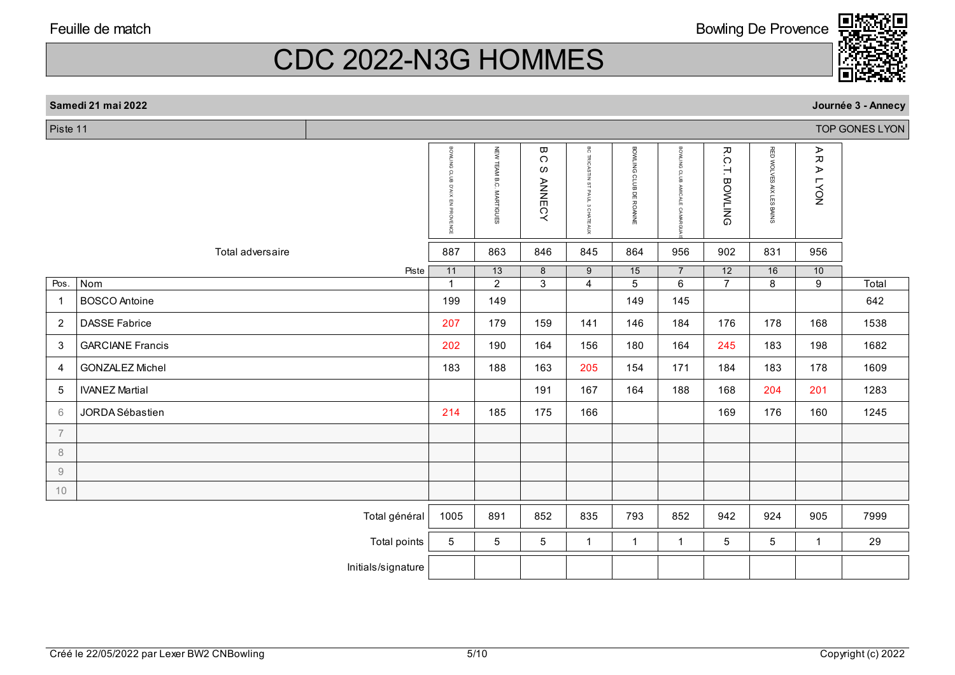CDC 2022-N3G HOMMES

| Piste 11       |                         |                                      |                            |                                                  |                                 |                        |                                  |                       |                          |                      | TOP GONES LYON |
|----------------|-------------------------|--------------------------------------|----------------------------|--------------------------------------------------|---------------------------------|------------------------|----------------------------------|-----------------------|--------------------------|----------------------|----------------|
|                |                         | BOWLING CLUB<br>D'AIX EN<br>PROVENCE | NEW TEAM B.C.<br>MARTIGUES | $\pmb{\varpi}$<br>$\Omega$<br>ဖ<br><b>ANNECY</b> | BC TRICASTIN ST PAUL 3 CHATEAUX | BOWLING CLUB DE ROANNE | BOWLING CLUB<br>AMICALE CAMARGI  | <b>R.C.T. BOWLING</b> | RED WOLVES AIX LES BAINS | ARA<br><b>LYON</b>   |                |
|                | Total adversaire        | 887                                  | 863                        | 846                                              | 845                             | 864                    | 956                              | 902                   | 831                      | 956                  |                |
| Pos.           | Piste<br>Nom            | 11<br>$\blacktriangleleft$           | 13<br>$\overline{2}$       | 8<br>$\overline{3}$                              | 9<br>$\overline{4}$             | 15<br>$\overline{5}$   | $\overline{7}$<br>$\overline{6}$ | 12<br>$\overline{7}$  | 16<br>$\overline{8}$     | 10<br>$\overline{9}$ | Total          |
| $\overline{1}$ | <b>BOSCO</b> Antoine    | 199                                  | 149                        |                                                  |                                 | 149                    | 145                              |                       |                          |                      | 642            |
| $\overline{2}$ | <b>DASSE Fabrice</b>    | 207                                  | 179                        | 159                                              | 141                             | 146                    | 184                              | 176                   | 178                      | 168                  | 1538           |
| $\mathbf{3}$   | <b>GARCIANE Francis</b> | 202                                  | 190                        | 164                                              | 156                             | 180                    | 164                              | 245                   | 183                      | 198                  | 1682           |
| $\overline{a}$ | <b>GONZALEZ Michel</b>  | 183                                  | 188                        | 163                                              | 205                             | 154                    | 171                              | 184                   | 183                      | 178                  | 1609           |
| $\sqrt{5}$     | <b>IVANEZ Martial</b>   |                                      |                            | 191                                              | 167                             | 164                    | 188                              | 168                   | 204                      | 201                  | 1283           |
| $6\,$          | JORDA Sébastien         | 214                                  | 185                        | 175                                              | 166                             |                        |                                  | 169                   | 176                      | 160                  | 1245           |
| $\overline{7}$ |                         |                                      |                            |                                                  |                                 |                        |                                  |                       |                          |                      |                |
| $\,8\,$        |                         |                                      |                            |                                                  |                                 |                        |                                  |                       |                          |                      |                |
| $\mathcal G$   |                         |                                      |                            |                                                  |                                 |                        |                                  |                       |                          |                      |                |
| 10             |                         |                                      |                            |                                                  |                                 |                        |                                  |                       |                          |                      |                |
|                | Total général           | 1005                                 | 891                        | 852                                              | 835                             | 793                    | 852                              | 942                   | 924                      | 905                  | 7999           |
|                | Total points            | $5\phantom{.0}$                      | 5                          | 5 <sup>5</sup>                                   | $\mathbf{1}$                    | $\mathbf{1}$           | $\mathbf{1}$                     | 5                     | 5                        | $\mathbf{1}$         | 29             |
|                | Initials/signature      |                                      |                            |                                                  |                                 |                        |                                  |                       |                          |                      |                |

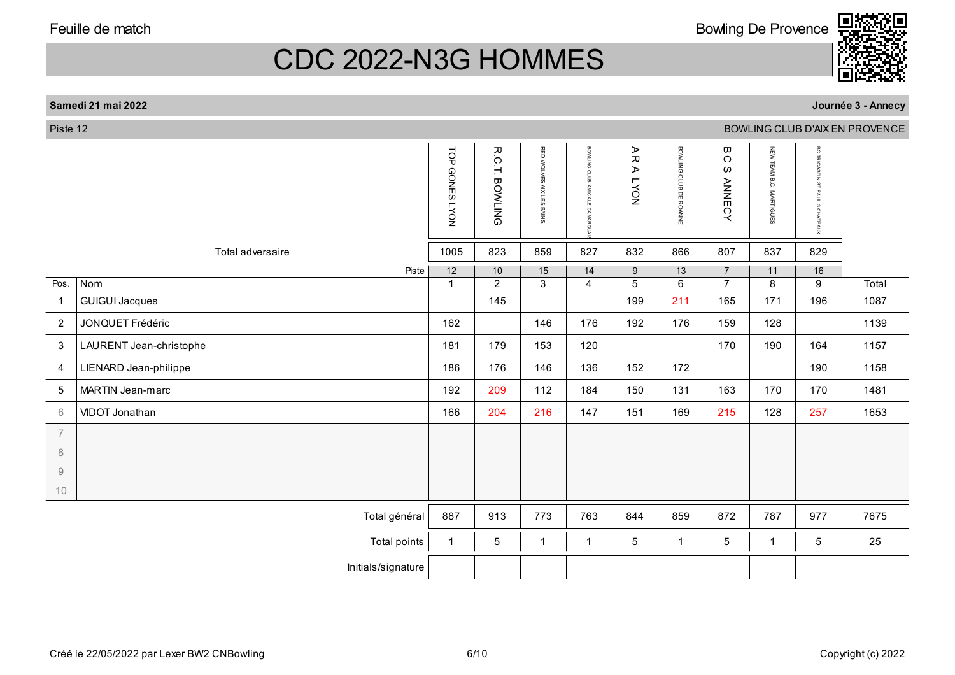### **Samedi 21 mai 2022**

| Piste 12<br>BOWLING CLUB D'AIX EN PROVENCE |                         |                    |                                 |                                   |                                   |                                   |                                                     |                                   |                                       |                            |                                                                        |       |
|--------------------------------------------|-------------------------|--------------------|---------------------------------|-----------------------------------|-----------------------------------|-----------------------------------|-----------------------------------------------------|-----------------------------------|---------------------------------------|----------------------------|------------------------------------------------------------------------|-------|
|                                            |                         |                    | TOP GONES LYON                  | R.C.T.<br><b>BOWLING</b>          | RED WOLVES AIX LES BAINS          | BOWLING CLUB AMICALE<br>CAMARGL   | ⋗<br>$\pmb{\pi}$<br>$\triangleright$<br><b>LYON</b> | BOWLING CLUB DE ROANNE            | ω<br>$\bigcirc$<br>ဖ<br><b>ANNECY</b> | NEW TEAM B.C.<br>MARTIGUES | <b>BC TRICASTIN</b><br>$\frac{1}{3}$<br><b>PAUL</b><br><b>CHATEAUX</b> |       |
|                                            | Total adversaire        |                    | 1005                            | 823                               | 859                               | 827                               | 832                                                 | 866                               | 807                                   | 837                        | 829                                                                    |       |
| Pos.                                       | Nom                     | Piste              | $\overline{12}$<br>$\mathbf{1}$ | $\overline{10}$<br>$\overline{2}$ | $\overline{15}$<br>$\overline{3}$ | $\overline{14}$<br>$\overline{4}$ | $\overline{9}$<br>$\overline{5}$                    | $\overline{13}$<br>$\overline{6}$ | $\overline{7}$<br>$\overline{7}$      | 11<br>8                    | 16<br>$\overline{9}$                                                   | Total |
| $\mathbf{1}$                               | <b>GUIGUI Jacques</b>   |                    |                                 | 145                               |                                   |                                   | 199                                                 | 211                               | 165                                   | 171                        | 196                                                                    | 1087  |
| $\overline{2}$                             | JONQUET Frédéric        |                    | 162                             |                                   | 146                               | 176                               | 192                                                 | 176                               | 159                                   | 128                        |                                                                        | 1139  |
| $\mathbf{3}$                               | LAURENT Jean-christophe |                    | 181                             | 179                               | 153                               | 120                               |                                                     |                                   | 170                                   | 190                        | 164                                                                    | 1157  |
| $\overline{4}$                             | LIENARD Jean-philippe   |                    | 186                             | 176                               | 146                               | 136                               | 152                                                 | 172                               |                                       |                            | 190                                                                    | 1158  |
| 5                                          | MARTIN Jean-marc        |                    | 192                             | 209                               | 112                               | 184                               | 150                                                 | 131                               | 163                                   | 170                        | 170                                                                    | 1481  |
| 6                                          | VIDOT Jonathan          |                    | 166                             | 204                               | 216                               | 147                               | 151                                                 | 169                               | 215                                   | 128                        | 257                                                                    | 1653  |
| $\overline{7}$                             |                         |                    |                                 |                                   |                                   |                                   |                                                     |                                   |                                       |                            |                                                                        |       |
| $\,8\,$                                    |                         |                    |                                 |                                   |                                   |                                   |                                                     |                                   |                                       |                            |                                                                        |       |
| $\mathcal G$                               |                         |                    |                                 |                                   |                                   |                                   |                                                     |                                   |                                       |                            |                                                                        |       |
| 10                                         |                         |                    |                                 |                                   |                                   |                                   |                                                     |                                   |                                       |                            |                                                                        |       |
|                                            |                         | Total général      | 887                             | 913                               | 773                               | 763                               | 844                                                 | 859                               | 872                                   | 787                        | 977                                                                    | 7675  |
|                                            |                         | Total points       | $\mathbf{1}$                    | 5                                 | $\mathbf{1}$                      | $\mathbf{1}$                      | $\overline{5}$                                      | $\mathbf{1}$                      | 5                                     | $\mathbf{1}$               | 5                                                                      | 25    |
|                                            |                         | Initials/signature |                                 |                                   |                                   |                                   |                                                     |                                   |                                       |                            |                                                                        |       |



**Journée 3 - Annecy**

Bowling De Provence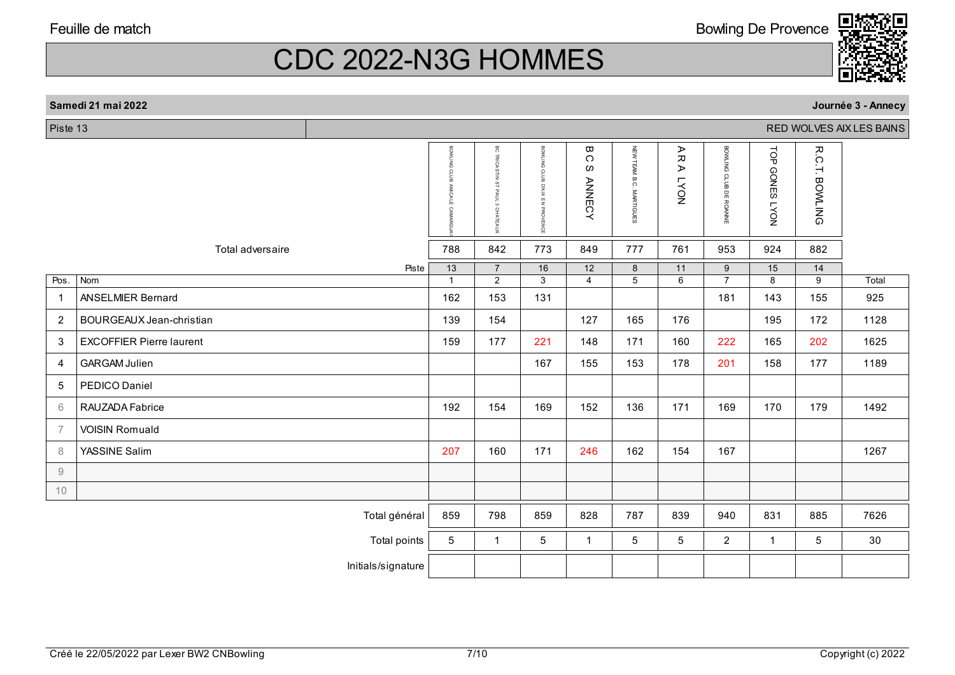#### **Samedi 21 mai 2022**

 $Picto 13$ 

|                | Piste 13<br>RED WOLVES AIX LES BAINS |                    |              |                                                                                           |                                     |                                    |                         |                                |                        |                                        |                          |       |
|----------------|--------------------------------------|--------------------|--------------|-------------------------------------------------------------------------------------------|-------------------------------------|------------------------------------|-------------------------|--------------------------------|------------------------|----------------------------------------|--------------------------|-------|
|                |                                      |                    | BOWLING      | ЭG<br><b>TRICAS</b><br>글<br>$\frac{1}{2}$<br>PAUI<br>$\omega$<br>$\circ$<br><b>ATEAUX</b> | BONITING CLUB<br>XIX<br>EN PROVENCE | ω<br>$\circ$<br>w<br><b>ANNECY</b> | NEW TEAM B.C. MARTIGUES | ⋗<br>观<br>⋗<br>NO <sub>X</sub> | BOWLING CLUB DE ROANNE | TOP<br><b>GONES</b><br>NO <sub>A</sub> | R.C.T.<br><b>BOWLING</b> |       |
|                | Total adversaire                     |                    | 788          | 842                                                                                       | 773                                 | 849                                | 777                     | 761                            | 953                    | 924                                    | 882                      |       |
|                |                                      | Piste              | 13           | $\overline{7}$                                                                            | 16                                  | 12                                 | 8                       | 11                             | $\boldsymbol{9}$       | 15                                     | 14                       |       |
| Pos.           | Nom                                  |                    | $\mathbf{1}$ | $\overline{2}$                                                                            | 3                                   | $\overline{4}$                     | $\overline{5}$          | $\overline{6}$                 | $\overline{7}$         | 8                                      | 9                        | Total |
| $\overline{1}$ | <b>ANSELMIER Bernard</b>             |                    | 162          | 153                                                                                       | 131                                 |                                    |                         |                                | 181                    | 143                                    | 155                      | 925   |
| $\overline{2}$ | BOURGEAUX Jean-christian             |                    | 139          | 154                                                                                       |                                     | 127                                | 165                     | 176                            |                        | 195                                    | 172                      | 1128  |
| 3              | <b>EXCOFFIER Pierre laurent</b>      |                    | 159          | 177                                                                                       | 221                                 | 148                                | 171                     | 160                            | 222                    | 165                                    | 202                      | 1625  |
| 4              | <b>GARGAM Julien</b>                 |                    |              |                                                                                           | 167                                 | 155                                | 153                     | 178                            | 201                    | 158                                    | 177                      | 1189  |
| 5              | PEDICO Daniel                        |                    |              |                                                                                           |                                     |                                    |                         |                                |                        |                                        |                          |       |
| 6              | RAUZADA Fabrice                      |                    | 192          | 154                                                                                       | 169                                 | 152                                | 136                     | 171                            | 169                    | 170                                    | 179                      | 1492  |
| $\overline{7}$ | <b>VOISIN Romuald</b>                |                    |              |                                                                                           |                                     |                                    |                         |                                |                        |                                        |                          |       |
| 8              | YASSINE Salim                        |                    | 207          | 160                                                                                       | 171                                 | 246                                | 162                     | 154                            | 167                    |                                        |                          | 1267  |
| 9              |                                      |                    |              |                                                                                           |                                     |                                    |                         |                                |                        |                                        |                          |       |
| 10             |                                      |                    |              |                                                                                           |                                     |                                    |                         |                                |                        |                                        |                          |       |
|                |                                      | Total général      | 859          | 798                                                                                       | 859                                 | 828                                | 787                     | 839                            | 940                    | 831                                    | 885                      | 7626  |
|                |                                      | Total points       | 5            | $\mathbf{1}$                                                                              | 5                                   | $\mathbf{1}$                       | 5                       | $5\phantom{.0}$                | $\overline{a}$         | $\mathbf{1}$                           | $\overline{5}$           | 30    |
|                |                                      | Initials/signature |              |                                                                                           |                                     |                                    |                         |                                |                        |                                        |                          |       |
|                |                                      |                    |              |                                                                                           |                                     |                                    |                         |                                |                        |                                        |                          |       |

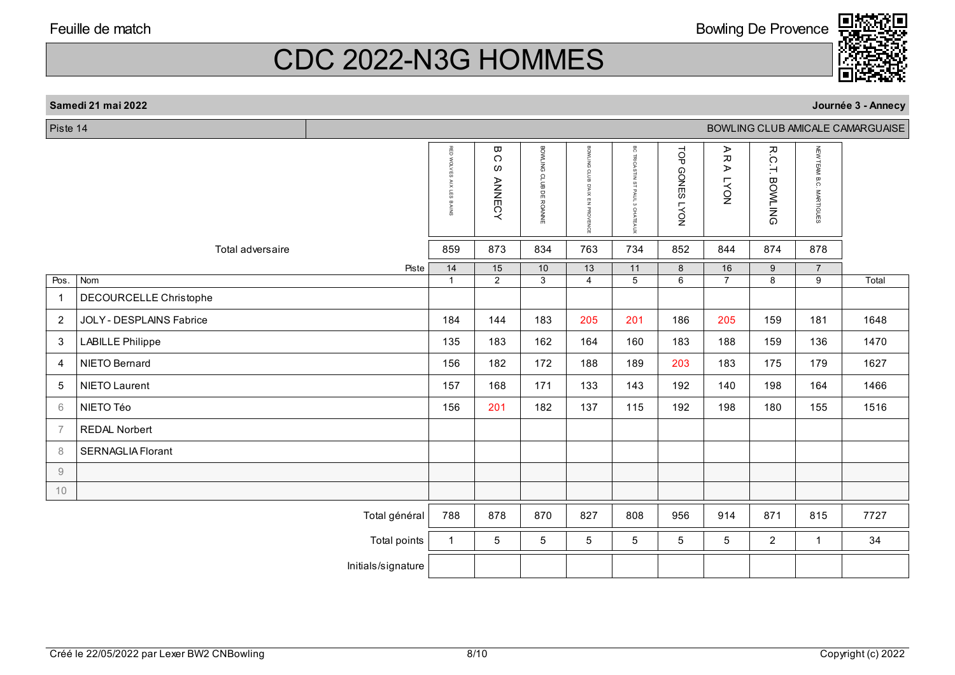#### **Samedi 21 mai 2022**

Piste 14

|                |                          | RED<br><b>WOLVES</b><br>AIX<br>LES<br>BAINS | $\pmb{\varpi}$<br>$\Omega$<br>ဖ<br><b>ANNECY</b> | BOWLING CLUB DE ROANNE | BOWLING<br>CLUB<br>D'AIX<br>罢<br>PROVENCE | $_{\circ}^{\circ}$<br><b>TRICASTIN</b><br>ST PAUL<br>3 CHATEAUX | <b>LOP</b><br><b>GONES LYON</b> | ⋗<br>观<br>⋗<br>NO <sub>X</sub> | R.C.T.<br><b>BOWLING</b> | NEW TEAM B.C. MARTIGUES |       |
|----------------|--------------------------|---------------------------------------------|--------------------------------------------------|------------------------|-------------------------------------------|-----------------------------------------------------------------|---------------------------------|--------------------------------|--------------------------|-------------------------|-------|
|                | Total adversaire         | 859                                         | 873                                              | 834                    | 763                                       | 734                                                             | 852                             | 844                            | 874                      | 878                     |       |
|                | Piste                    | 14                                          | 15                                               | 10                     | 13                                        | 11                                                              | 8                               | 16                             | 9                        | $\overline{7}$          |       |
| Pos.           | Nom                      | $\mathbf{1}$                                | 2                                                | $\overline{3}$         | $\overline{4}$                            | $\overline{5}$                                                  | 6                               | $\overline{7}$                 | $\overline{8}$           | $\overline{9}$          | Total |
| $\overline{1}$ | DECOURCELLE Christophe   |                                             |                                                  |                        |                                           |                                                                 |                                 |                                |                          |                         |       |
| $\overline{c}$ | JOLY - DESPLAINS Fabrice | 184                                         | 144                                              | 183                    | 205                                       | 201                                                             | 186                             | 205                            | 159                      | 181                     | 1648  |
| 3              | <b>LABILLE Philippe</b>  | 135                                         | 183                                              | 162                    | 164                                       | 160                                                             | 183                             | 188                            | 159                      | 136                     | 1470  |
| 4              | NIETO Bernard            | 156                                         | 182                                              | 172                    | 188                                       | 189                                                             | 203                             | 183                            | 175                      | 179                     | 1627  |
| 5              | NIETO Laurent            | 157                                         | 168                                              | 171                    | 133                                       | 143                                                             | 192                             | 140                            | 198                      | 164                     | 1466  |
| 6              | NIETO Téo                | 156                                         | 201                                              | 182                    | 137                                       | 115                                                             | 192                             | 198                            | 180                      | 155                     | 1516  |
| $\overline{7}$ | <b>REDAL Norbert</b>     |                                             |                                                  |                        |                                           |                                                                 |                                 |                                |                          |                         |       |
| 8              | <b>SERNAGLIA Florant</b> |                                             |                                                  |                        |                                           |                                                                 |                                 |                                |                          |                         |       |
| 9              |                          |                                             |                                                  |                        |                                           |                                                                 |                                 |                                |                          |                         |       |
| 10             |                          |                                             |                                                  |                        |                                           |                                                                 |                                 |                                |                          |                         |       |
|                | Total général            | 788                                         | 878                                              | 870                    | 827                                       | 808                                                             | 956                             | 914                            | 871                      | 815                     | 7727  |
|                | Total points             | $\mathbf{1}$                                | 5                                                | 5                      | 5                                         | 5                                                               | 5                               | 5                              | $\overline{2}$           | $\mathbf{1}$            | 34    |
|                | Initials/signature       |                                             |                                                  |                        |                                           |                                                                 |                                 |                                |                          |                         |       |
|                |                          |                                             |                                                  |                        |                                           |                                                                 |                                 |                                |                          |                         |       |

BOWLING CLUB AMICALE CAMARGUAISE





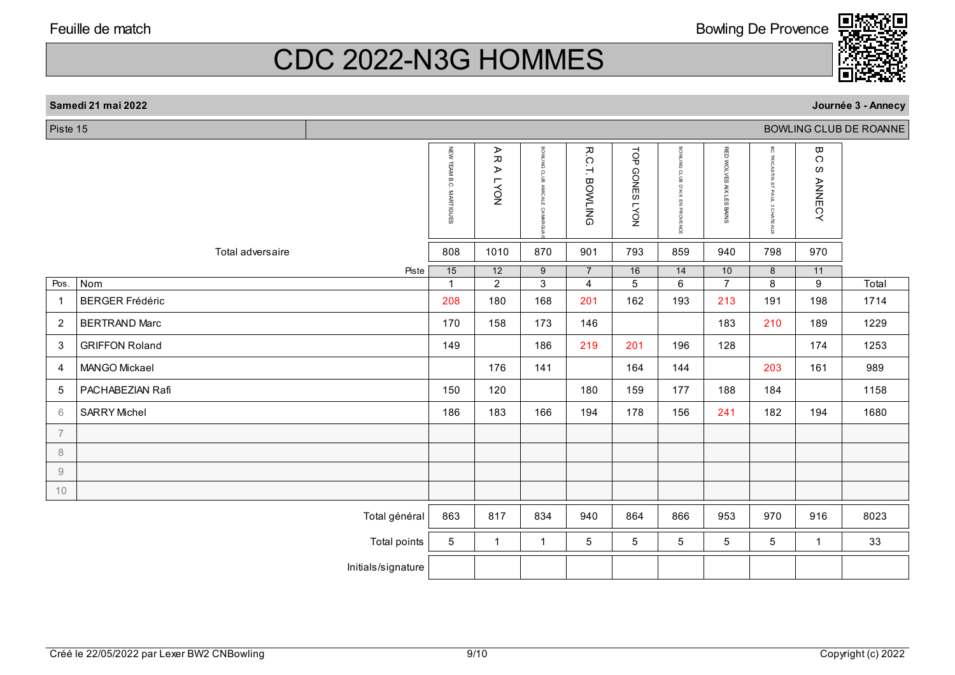#### **Samedi 21 mai 2022**

Piste 15

|                |                        | NEW TEAM B.C. MARTIGUES | ⋗<br>观<br>⋗<br><b>LYON</b> | BONLING<br><b>GLUB</b><br><b>AMICALE</b><br><b>CAMARG</b> | R.C.T.<br><b>BOWLING</b>         | TOP<br><b>GONES</b><br><b>NOAT</b> | BONLING<br>CLUB<br>XIV.Q<br>뭉<br>PROVENCE | <b>RED WOLVES</b><br>AIX LES BAINS | <b>BC TRICASTIN</b><br>STPAUL<br>CHATEAUX | ω<br>C<br>$\omega$<br><b>ANNECY</b> |       |
|----------------|------------------------|-------------------------|----------------------------|-----------------------------------------------------------|----------------------------------|------------------------------------|-------------------------------------------|------------------------------------|-------------------------------------------|-------------------------------------|-------|
|                | Total adversaire       | 808                     | 1010                       | 870                                                       | 901                              | 793                                | 859                                       | 940                                | 798                                       | 970                                 |       |
| Pos.           | Piste<br>Nom           | 15<br>$\mathbf{1}$      | 12<br>$\overline{2}$       | 9<br>$\overline{3}$                                       | $\overline{7}$<br>$\overline{4}$ | 16<br>$\overline{5}$               | 14<br>$\overline{6}$                      | 10<br>$\overline{7}$               | 8<br>$\overline{8}$                       | 11<br>$\overline{9}$                | Total |
| $\mathbf{1}$   | <b>BERGER Frédéric</b> | 208                     | 180                        | 168                                                       | 201                              | 162                                | 193                                       | 213                                | 191                                       | 198                                 | 1714  |
| $\overline{2}$ | <b>BERTRAND Marc</b>   | 170                     | 158                        | 173                                                       | 146                              |                                    |                                           | 183                                | 210                                       | 189                                 | 1229  |
| 3              | <b>GRIFFON Roland</b>  | 149                     |                            | 186                                                       | 219                              | 201                                | 196                                       | 128                                |                                           | 174                                 | 1253  |
| 4              | MANGO Mickael          |                         | 176                        | 141                                                       |                                  | 164                                | 144                                       |                                    | 203                                       | 161                                 | 989   |
| 5              | PACHABEZIAN Rafi       | 150                     | 120                        |                                                           | 180                              | 159                                | 177                                       | 188                                | 184                                       |                                     | 1158  |
| 6              | <b>SARRY Michel</b>    | 186                     | 183                        | 166                                                       | 194                              | 178                                | 156                                       | 241                                | 182                                       | 194                                 | 1680  |
| $\overline{7}$ |                        |                         |                            |                                                           |                                  |                                    |                                           |                                    |                                           |                                     |       |
| 8              |                        |                         |                            |                                                           |                                  |                                    |                                           |                                    |                                           |                                     |       |
| $\Theta$       |                        |                         |                            |                                                           |                                  |                                    |                                           |                                    |                                           |                                     |       |
| 10             |                        |                         |                            |                                                           |                                  |                                    |                                           |                                    |                                           |                                     |       |
|                | Total général          | 863                     | 817                        | 834                                                       | 940                              | 864                                | 866                                       | 953                                | 970                                       | 916                                 | 8023  |
|                | Total points           | 5                       | $\mathbf{1}$               | $\mathbf{1}$                                              | 5                                | 5                                  | $\overline{5}$                            | 5                                  | 5                                         | $\mathbf{1}$                        | 33    |
|                | Initials/signature     |                         |                            |                                                           |                                  |                                    |                                           |                                    |                                           |                                     |       |
|                |                        |                         |                            |                                                           |                                  |                                    |                                           |                                    |                                           |                                     |       |

BOWLING CLUB DE ROANNE